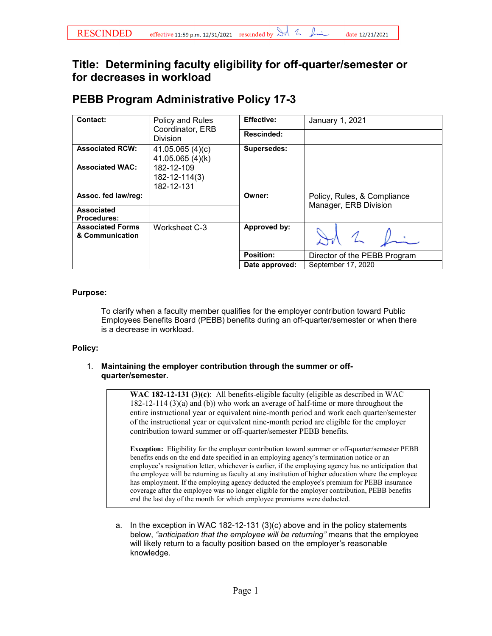## **Title: Determining faculty eligibility for off-quarter/semester or for decreases in workload**

| Contact:                                   | Policy and Rules<br>Coordinator, ERB<br>Division | <b>Effective:</b>  | January 1, 2021                                      |
|--------------------------------------------|--------------------------------------------------|--------------------|------------------------------------------------------|
|                                            |                                                  | Rescinded:         |                                                      |
| <b>Associated RCW:</b>                     | 41.05.065(4)(c)<br>41.05.065 (4)(k)              | <b>Supersedes:</b> |                                                      |
| <b>Associated WAC:</b>                     | 182-12-109<br>182-12-114(3)<br>182-12-131        |                    |                                                      |
| Assoc. fed law/reg:                        |                                                  | Owner:             | Policy, Rules, & Compliance<br>Manager, ERB Division |
| <b>Associated</b><br><b>Procedures:</b>    |                                                  |                    |                                                      |
| <b>Associated Forms</b><br>& Communication | Worksheet C-3                                    | Approved by:       |                                                      |
|                                            |                                                  | Position:          | Director of the PEBB Program                         |
|                                            |                                                  | Date approved:     | September 17, 2020                                   |

# **PEBB Program Administrative Policy 17-3**

### **Purpose:**

To clarify when a faculty member qualifies for the employer contribution toward Public Employees Benefits Board (PEBB) benefits during an off-quarter/semester or when there is a decrease in workload.

### **Policy:**

#### 1. **Maintaining the employer contribution through the summer or offquarter/semester.**

**WAC 182-12-131 (3)(c)**: All benefits-eligible faculty (eligible as described in WAC 182-12-114 (3)(a) and (b)) who work an average of half-time or more throughout the entire instructional year or equivalent nine-month period and work each quarter/semester of the instructional year or equivalent nine-month period are eligible for the employer contribution toward summer or off-quarter/semester PEBB benefits.

**Exception:** Eligibility for the employer contribution toward summer or off-quarter/semester PEBB benefits ends on the end date specified in an employing agency's termination notice or an employee's resignation letter, whichever is earlier, if the employing agency has no anticipation that the employee will be returning as faculty at any institution of higher education where the employee has employment. If the employing agency deducted the employee's premium for PEBB insurance coverage after the employee was no longer eligible for the employer contribution, PEBB benefits end the last day of the month for which employee premiums were deducted.

a. In the exception in WAC 182-12-131 (3)(c) above and in the policy statements below, *"anticipation that the employee will be returning"* means that the employee will likely return to a faculty position based on the employer's reasonable knowledge.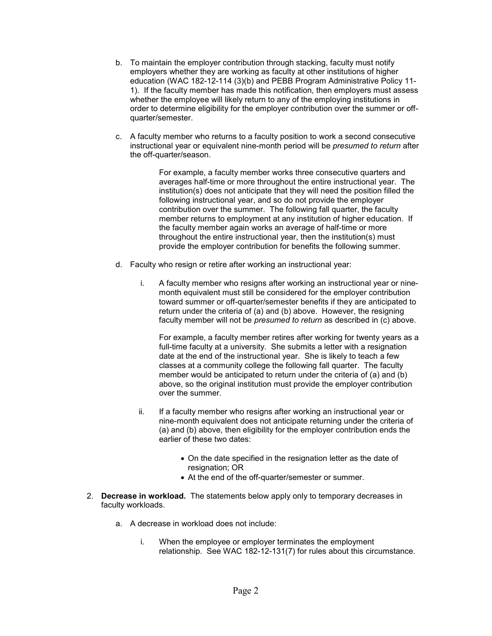- b. To maintain the employer contribution through stacking, faculty must notify employers whether they are working as faculty at other institutions of higher education (WAC 182-12-114 (3)(b) and PEBB Program Administrative Policy 11- 1). If the faculty member has made this notification, then employers must assess whether the employee will likely return to any of the employing institutions in order to determine eligibility for the employer contribution over the summer or offquarter/semester.
- c. A faculty member who returns to a faculty position to work a second consecutive instructional year or equivalent nine-month period will be *presumed to return* after the off-quarter/season.

For example, a faculty member works three consecutive quarters and averages half-time or more throughout the entire instructional year. The institution(s) does not anticipate that they will need the position filled the following instructional year, and so do not provide the employer contribution over the summer. The following fall quarter, the faculty member returns to employment at any institution of higher education. If the faculty member again works an average of half-time or more throughout the entire instructional year, then the institution(s) must provide the employer contribution for benefits the following summer.

- d. Faculty who resign or retire after working an instructional year:
	- i. A faculty member who resigns after working an instructional year or ninemonth equivalent must still be considered for the employer contribution toward summer or off-quarter/semester benefits if they are anticipated to return under the criteria of (a) and (b) above. However, the resigning faculty member will not be *presumed to return* as described in (c) above.

For example, a faculty member retires after working for twenty years as a full-time faculty at a university. She submits a letter with a resignation date at the end of the instructional year. She is likely to teach a few classes at a community college the following fall quarter. The faculty member would be anticipated to return under the criteria of (a) and (b) above, so the original institution must provide the employer contribution over the summer.

- ii. If a faculty member who resigns after working an instructional year or nine-month equivalent does not anticipate returning under the criteria of (a) and (b) above, then eligibility for the employer contribution ends the earlier of these two dates:
	- On the date specified in the resignation letter as the date of resignation; OR
	- At the end of the off-quarter/semester or summer.
- 2. **Decrease in workload.** The statements below apply only to temporary decreases in faculty workloads.
	- a. A decrease in workload does not include:
		- i. When the employee or employer terminates the employment relationship. See WAC 182-12-131(7) for rules about this circumstance.